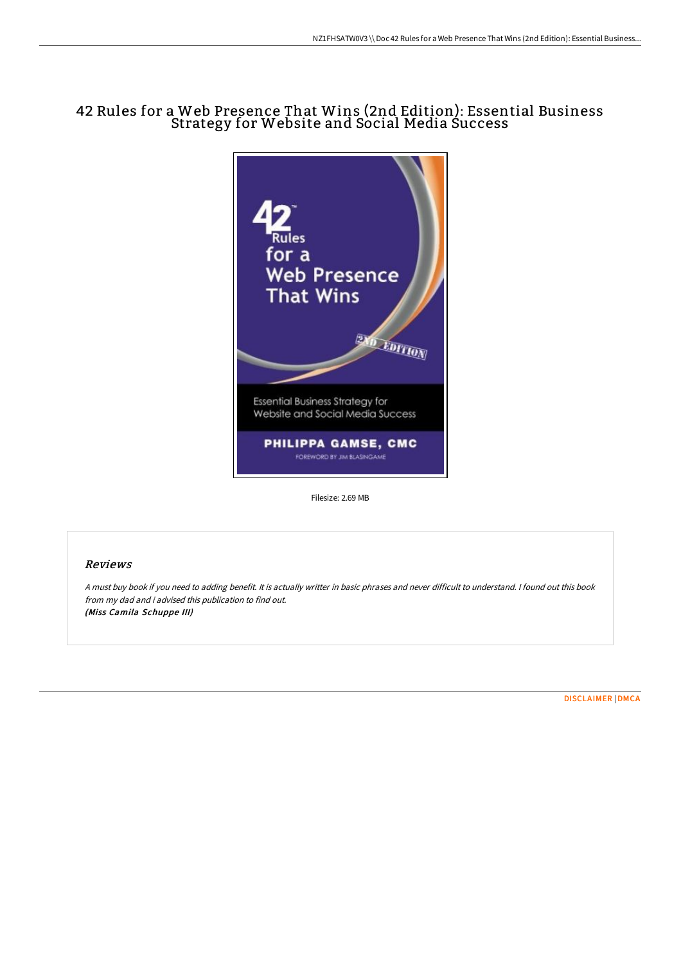# 42 Rules for a Web Presence That Wins (2nd Edition): Essential Business Strategy for Website and Social Media Success



Filesize: 2.69 MB

## Reviews

<sup>A</sup> must buy book if you need to adding benefit. It is actually writter in basic phrases and never difficult to understand. <sup>I</sup> found out this book from my dad and i advised this publication to find out. (Miss Camila Schuppe III)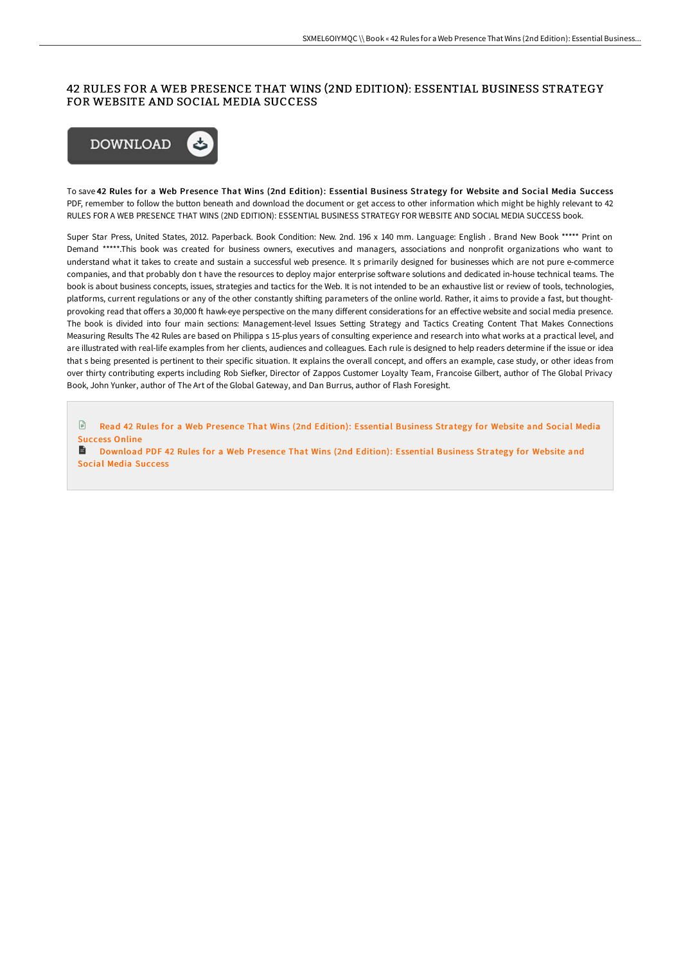### 42 RULES FOR A WEB PRESENCE THAT WINS (2ND EDITION): ESSENTIAL BUSINESS STRATEGY FOR WEBSITE AND SOCIAL MEDIA SUCCESS



To save 42 Rules for a Web Presence That Wins (2nd Edition): Essential Business Strategy for Website and Social Media Success PDF, remember to follow the button beneath and download the document or get access to other information which might be highly relevant to 42 RULES FOR A WEB PRESENCE THAT WINS (2ND EDITION): ESSENTIAL BUSINESS STRATEGY FOR WEBSITE AND SOCIAL MEDIA SUCCESS book.

Super Star Press, United States, 2012. Paperback. Book Condition: New. 2nd. 196 x 140 mm. Language: English . Brand New Book \*\*\*\*\* Print on Demand \*\*\*\*\*.This book was created for business owners, executives and managers, associations and nonprofit organizations who want to understand what it takes to create and sustain a successful web presence. It s primarily designed for businesses which are not pure e-commerce companies, and that probably don t have the resources to deploy major enterprise software solutions and dedicated in-house technical teams. The book is about business concepts, issues, strategies and tactics for the Web. It is not intended to be an exhaustive list or review of tools, technologies, platforms, current regulations or any of the other constantly shifting parameters of the online world. Rather, it aims to provide a fast, but thoughtprovoking read that offers a 30,000 ft hawk-eye perspective on the many different considerations for an effective website and social media presence. The book is divided into four main sections: Management-level Issues Setting Strategy and Tactics Creating Content That Makes Connections Measuring Results The 42 Rules are based on Philippa s 15-plus years of consulting experience and research into what works at a practical level, and are illustrated with real-life examples from her clients, audiences and colleagues. Each rule is designed to help readers determine if the issue or idea that s being presented is pertinent to their specific situation. It explains the overall concept, and offers an example, case study, or other ideas from over thirty contributing experts including Rob Siefker, Director of Zappos Customer Loyalty Team, Francoise Gilbert, author of The Global Privacy Book, John Yunker, author of The Art of the Global Gateway, and Dan Burrus, author of Flash Foresight.

 $\mathbb{R}$ Read 42 Rules for a Web [Presence](http://albedo.media/42-rules-for-a-web-presence-that-wins-2nd-editio.html) That Wins (2nd Edition): Essential Business Strategy for Website and Social Media Success Online

**■** [Download](http://albedo.media/42-rules-for-a-web-presence-that-wins-2nd-editio.html) PDF 42 Rules for a Web Presence That Wins (2nd Edition): Essential Business Strategy for Website and Social Media Success